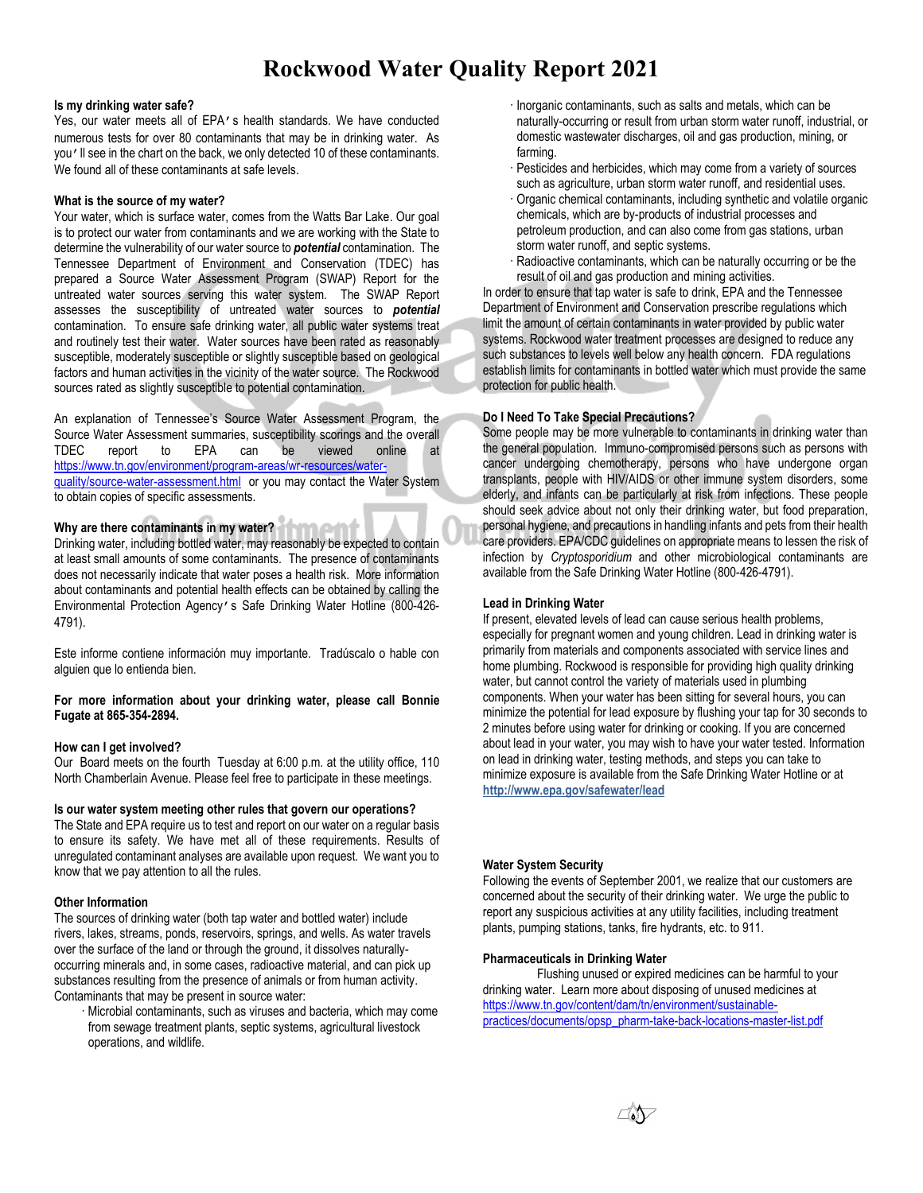# **Rockwood Water Quality Report 2021**

## **Is my drinking water safe?**

Yes, our water meets all of EPA's health standards. We have conducted numerous tests for over 80 contaminants that may be in drinking water. As you'll see in the chart on the back, we only detected 10 of these contaminants. We found all of these contaminants at safe levels.

## **What is the source of my water?**

Your water, which is surface water, comes from the Watts Bar Lake. Our goal is to protect our water from contaminants and we are working with the State to determine the vulnerability of our water source to *potential* contamination. The Tennessee Department of Environment and Conservation (TDEC) has prepared a Source Water Assessment Program (SWAP) Report for the untreated water sources serving this water system. The SWAP Report assesses the susceptibility of untreated water sources to *potential* contamination. To ensure safe drinking water, all public water systems treat and routinely test their water. Water sources have been rated as reasonably susceptible, moderately susceptible or slightly susceptible based on geological factors and human activities in the vicinity of the water source. The Rockwood sources rated as slightly susceptible to potential contamination.

An explanation of Tennessee's Source Water Assessment Program, the Source Water Assessment summaries, susceptibility scorings and the overall TDEC report to EPA can be viewed online at [https://www.tn.gov/environment/program-areas/wr-resources/water](https://www.tn.gov/environment/program-areas/wr-resources/water-quality/source-water-assessment.html)[quality/source-water-assessment.html](https://www.tn.gov/environment/program-areas/wr-resources/water-quality/source-water-assessment.html) or you may contact the Water System to obtain copies of specific assessments.

# **Why are there contaminants in my water?**

Drinking water, including bottled water, may reasonably be expected to contain at least small amounts of some contaminants. The presence of contaminants does not necessarily indicate that water poses a health risk. More information about contaminants and potential health effects can be obtained by calling the Environmental Protection Agency's Safe Drinking Water Hotline (800-426- 4791).

Este informe contiene información muy importante. Tradúscalo o hable con alguien que lo entienda bien.

**For more information about your drinking water, please call Bonnie Fugate at 865-354-2894.**

## **How can I get involved?**

Our Board meets on the fourth Tuesday at 6:00 p.m. at the utility office, 110 North Chamberlain Avenue. Please feel free to participate in these meetings.

## **Is our water system meeting other rules that govern our operations?**

The State and EPA require us to test and report on our water on a regular basis to ensure its safety. We have met all of these requirements. Results of unregulated contaminant analyses are available upon request. We want you to know that we pay attention to all the rules.

## **Other Information**

The sources of drinking water (both tap water and bottled water) include rivers, lakes, streams, ponds, reservoirs, springs, and wells. As water travels over the surface of the land or through the ground, it dissolves naturallyoccurring minerals and, in some cases, radioactive material, and can pick up substances resulting from the presence of animals or from human activity. Contaminants that may be present in source water:

· Microbial contaminants, such as viruses and bacteria, which may come from sewage treatment plants, septic systems, agricultural livestock operations, and wildlife.

- · Inorganic contaminants, such as salts and metals, which can be naturally-occurring or result from urban storm water runoff, industrial, or domestic wastewater discharges, oil and gas production, mining, or farming.
- · Pesticides and herbicides, which may come from a variety of sources such as agriculture, urban storm water runoff, and residential uses.
- · Organic chemical contaminants, including synthetic and volatile organic chemicals, which are by-products of industrial processes and petroleum production, and can also come from gas stations, urban storm water runoff, and septic systems.
- · Radioactive contaminants, which can be naturally occurring or be the result of oil and gas production and mining activities.

In order to ensure that tap water is safe to drink, EPA and the Tennessee Department of Environment and Conservation prescribe regulations which limit the amount of certain contaminants in water provided by public water systems. Rockwood water treatment processes are designed to reduce any such substances to levels well below any health concern. FDA regulations establish limits for contaminants in bottled water which must provide the same protection for public health.

# **Do I Need To Take Special Precautions?**

Some people may be more vulnerable to contaminants in drinking water than the general population. Immuno-compromised persons such as persons with cancer undergoing chemotherapy, persons who have undergone organ transplants, people with HIV/AIDS or other immune system disorders, some elderly, and infants can be particularly at risk from infections. These people should seek advice about not only their drinking water, but food preparation, personal hygiene, and precautions in handling infants and pets from their health care providers. EPA/CDC guidelines on appropriate means to lessen the risk of infection by *Cryptosporidium* and other microbiological contaminants are available from the Safe Drinking Water Hotline (800-426-4791).

# **Lead in Drinking Water**

If present, elevated levels of lead can cause serious health problems, especially for pregnant women and young children. Lead in drinking water is primarily from materials and components associated with service lines and home plumbing. Rockwood is responsible for providing high quality drinking water, but cannot control the variety of materials used in plumbing components. When your water has been sitting for several hours, you can minimize the potential for lead exposure by flushing your tap for 30 seconds to 2 minutes before using water for drinking or cooking. If you are concerned about lead in your water, you may wish to have your water tested. Information on lead in drinking water, testing methods, and steps you can take to minimize exposure is available from the Safe Drinking Water Hotline or at **http://www.epa.gov/safewater/lead**

# **Water System Security**

Following the events of September 2001, we realize that our customers are concerned about the security of their drinking water. We urge the public to report any suspicious activities at any utility facilities, including treatment plants, pumping stations, tanks, fire hydrants, etc. to 911.

## **Pharmaceuticals in Drinking Water**

Flushing unused or expired medicines can be harmful to your drinking water. Learn more about disposing of unused medicines at [https://www.tn.gov/content/dam/tn/environment/sustainable](https://www.tn.gov/content/dam/tn/environment/sustainable-practices/documents/opsp_pharm-take-back-locations-master-list.pdf)[practices/documents/opsp\\_pharm-take-back-locations-master-list.pdf](https://www.tn.gov/content/dam/tn/environment/sustainable-practices/documents/opsp_pharm-take-back-locations-master-list.pdf)